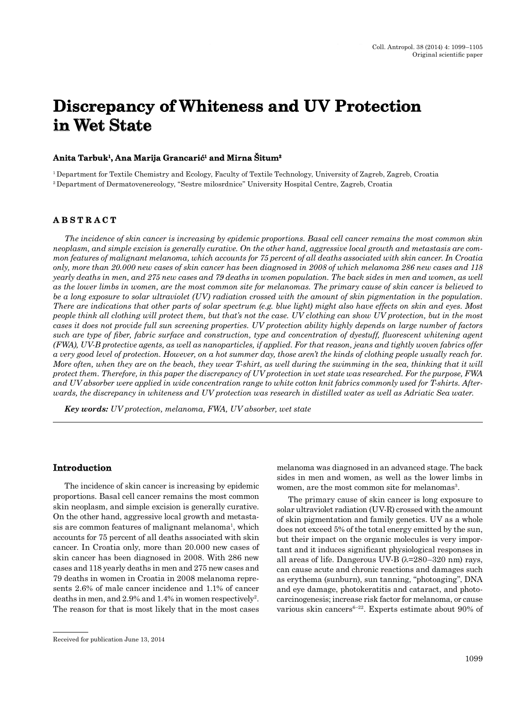# **Discrepancy of Whiteness and UV Protection in Wet State**

## $\bold{Anti}$  Tarbuk<sup>1</sup>, Ana Marija Grancarić<sup>1</sup> and Mirna Situm $^2$

1 Department for Textile Chemistry and Ecology, Faculty of Textile Technology, University of Zagreb, Zagreb, Croatia 2 Department of Dermatovenereology, "Sestre milosrdnice" University Hospital Centre, Zagreb, Croatia

## **A B S T R A C T B S T R A C**

*The incidence of skin cancer is increasing by epidemic proportions. Basal cell cancer remains the most common skin neoplasm, and simple excision is generally curative. On the other hand, aggressive local growth and metastasis are common features of malignant melanoma, which accounts for 75 percent of all deaths associated with skin cancer. In Croatia only, more than 20.000 new cases of skin cancer has been diagnosed in 2008 of which melanoma 286 new cases and 118 yearly deaths in men, and 275 new cases and 79 deaths in women population. The back sides in men and women, as well as the lower limbs in women, are the most common site for melanomas. The primary cause of skin cancer is believed to be a long exposure to solar ultraviolet (UV) radiation crossed with the amount of skin pigmentation in the population. There are indications that other parts of solar spectrum (e.g. blue light) might also have effects on skin and eyes. Most people think all clothing will protect them, but that's not the case. UV clothing can show UV protection, but in the most cases it does not provide full sun screening properties. UV protection ability highly depends on large number of factors*  such are type of fiber, fabric surface and construction, type and concentration of dyestuff, fluorescent whitening agent *(FWA), UV-B protective agents, as well as nanoparticles, if applied. For that reason, jeans and tightly woven fabrics offer a very good level of protection. However, on a hot summer day, those aren't the kinds of clothing people usually reach for. More often, when they are on the beach, they wear T-shirt, as well during the swimming in the sea, thinking that it will protect them. Therefore, in this paper the discrepancy of UV protection in wet state was researched. For the purpose, FWA and UV absorber were applied in wide concentration range to white cotton knit fabrics commonly used for T-shirts. Afterwards, the discrepancy in whiteness and UV protection was research in distilled water as well as Adriatic Sea water.*

*Key words: UV protection, melanoma, FWA, UV absorber, wet state*

## **Introduction**

The incidence of skin cancer is increasing by epidemic proportions. Basal cell cancer remains the most common skin neoplasm, and simple excision is generally curative. On the other hand, aggressive local growth and metastasis are common features of malignant melanoma<sup>1</sup>, which accounts for 75 percent of all deaths associated with skin cancer. In Croatia only, more than 20.000 new cases of skin cancer has been diagnosed in 2008. With 286 new cases and 118 yearly deaths in men and 275 new cases and 79 deaths in women in Croatia in 2008 melanoma represents 2.6% of male cancer incidence and 1.1% of cancer deaths in men, and  $2.9\%$  and  $1.4\%$  in women respectively<sup>2</sup>. The reason for that is most likely that in the most cases

melanoma was diagnosed in an advanced stage. The back sides in men and women, as well as the lower limbs in women, are the most common site for melanomas<sup>3</sup>.

The primary cause of skin cancer is long exposure to solar ultraviolet radiation (UV-R) crossed with the amount of skin pigmentation and family genetics. UV as a whole does not exceed 5% of the total energy emitted by the sun, but their impact on the organic molecules is very important and it induces significant physiological responses in all areas of life. Dangerous UV-B  $(\lambda=280-320 \text{ nm})$  rays, can cause acute and chronic reactions and damages such as erythema (sunburn), sun tanning, "photoaging", DNA and eye damage, photokeratitis and cataract, and photocarcinogenesis; increase risk factor for melanoma, or cause various skin cancers<sup>6–22</sup>. Experts estimate about 90% of

Received for publication June 13, 2014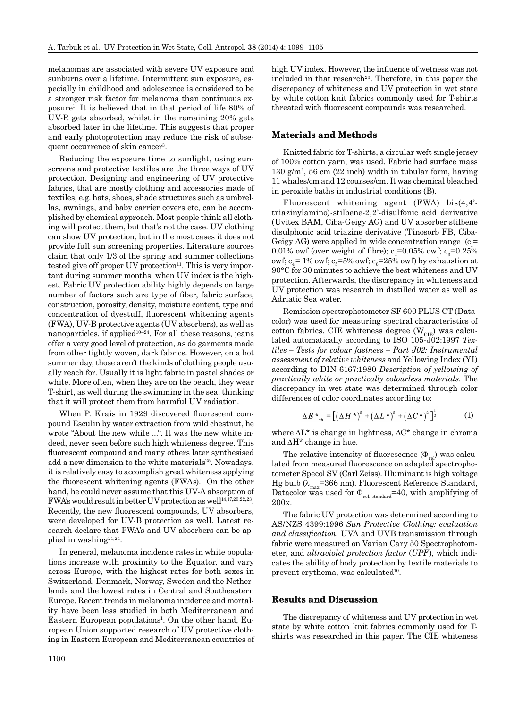melanomas are associated with severe UV exposure and sunburns over a lifetime. Intermittent sun exposure, especially in childhood and adolescence is considered to be a stronger risk factor for melanoma than continuous exposure1 . It is believed that in that period of life 80% of UV-R gets absorbed, whilst in the remaining 20% gets absorbed later in the lifetime. This suggests that proper and early photoprotection may reduce the risk of subsequent occurrence of skin cancer<sup>3</sup>.

Reducing the exposure time to sunlight, using sunscreens and protective textiles are the three ways of UV protection. Designing and engineering of UV protective fabrics, that are mostly clothing and accessories made of textiles, e.g. hats, shoes, shade structures such as umbrellas, awnings, and baby carrier covers etc, can be accomplished by chemical approach. Most people think all clothing will protect them, but that's not the case. UV clothing can show UV protection, but in the most cases it does not provide full sun screening properties. Literature sources claim that only 1/3 of the spring and summer collections tested give off proper UV protection $11$ . This is very important during summer months, when UV index is the highest. Fabric UV protection ability highly depends on large number of factors such are type of fiber, fabric surface, construction, porosity, density, moisture content, type and concentration of dyestuff, fluorescent whitening agents (FWA), UV-B protective agents (UV absorbers), as well as nanoparticles, if applied<sup>10–24</sup>. For all these reasons, jeans offer a very good level of protection, as do garments made from other tightly woven, dark fabrics. However, on a hot summer day, those aren't the kinds of clothing people usually reach for. Usually it is light fabric in pastel shades or white. More often, when they are on the beach, they wear T-shirt, as well during the swimming in the sea, thinking that it will protect them from harmful UV radiation.

When P. Krais in 1929 discovered fluorescent compound Esculin by water extraction from wild chestnut, he wrote "About the new white ...". It was the new white indeed, never seen before such high whiteness degree. This fluorescent compound and many others later synthesised add a new dimension to the white materials<sup>25</sup>. Nowadays, it is relatively easy to accomplish great whiteness applying the fluorescent whitening agents (FWAs). On the other hand, he could never assume that this UV-A absorption of  $FWA's$  would result in better UV protection as well<sup>14,17,20,22,23</sup>. Recently, the new fluorescent compounds, UV absorbers, were developed for UV-B protection as well. Latest research declare that FWA's and UV absorbers can be applied in washing<sup>21,24</sup>.

In general, melanoma incidence rates in white populations increase with proximity to the Equator, and vary across Europe, with the highest rates for both sexes in Switzerland, Denmark, Norway, Sweden and the Netherlands and the lowest rates in Central and Southeastern Europe. Recent trends in melanoma incidence and mortality have been less studied in both Mediterranean and Eastern European populations<sup>1</sup>. On the other hand, European Union supported research of UV protective clothing in Eastern European and Mediterranean countries of high UV index. However, the influence of wetness was not included in that research<sup>23</sup>. Therefore, in this paper the discrepancy of whiteness and UV protection in wet state by white cotton knit fabrics commonly used for T-shirts threated with fluorescent compounds was researched.

## **Materials and Methods**

Knitted fabric for T-shirts, a circular weft single jersey of 100% cotton yarn, was used. Fabric had surface mass 130 g/m<sup>2</sup>, 56 cm  $(22 \text{ inch})$  width in tubular form, having 11 whales/cm and 12 courses/cm. It was chemical bleached in peroxide baths in industrial conditions (B).

Fluorescent whitening agent (FWA) bis(4,4' triazinylamino)-stilbene-2,2'-disulfonic acid derivative (Uvitex BAM, Ciba-Geigy AG) and UV absorber stilbene disulphonic acid triazine derivative (Tinosorb FB, Ciba-Geigy AG) were applied in wide concentration range  $(c_1 =$ 0.01% owf (over weight of fibre);  $c_2=0.05\%$  owf;  $c_3=0.25\%$ owf;  $c_4 = 1\%$  owf;  $c_5 = 5\%$  owf;  $c_6 = 25\%$  owf) by exhaustion at 90°C for 30 minutes to achieve the best whiteness and UV protection. Afterwards, the discrepancy in whiteness and UV protection was research in distilled water as well as Adriatic Sea water.

Remission spectrophotometer SF 600 PLUS CT (Datacolor) was used for measuring spectral characteristics of cotton fabrics. CIE whiteness degree  $(W_{CIE})$  was calculated automatically according to ISO 105-J02:1997 *Textiles – Tests for colour fastness – Part J02: Instrumental assessment of relative whiteness* and Yellowing Index (YI) according to DIN 6167:1980 *Description of yellowing of practically white or practically colourless materials*. The discrepancy in wet state was determined through color differences of color coordinates according to:

$$
\Delta E^* = \left[ \left( \Delta H^* \right)^2 + \left( \Delta L^* \right)^2 + \left( \Delta C^* \right)^2 \right]^{\frac{1}{2}} \tag{1}
$$

where  $\Delta L^*$  is change in lightness,  $\Delta C^*$  change in chroma and  $\Delta H^*$  change in hue.

The relative intensity of fluorescence  $(\Phi_{\text{rel}})$  was calculated from measured fluorescence on adapted spectrophotometer Specol SV (Carl Zeiss). Illuminant is high voltage Hg bulb ( $\lambda_{\text{max}}$ =366 nm). Fluorescent Reference Standard, Datacolor was used for  $\Phi_{rel-standard}=40$ , with amplifying of 200x.

The fabric UV protection was determined according to AS/NZS 4399:1996 *Sun Protective Clothing: evaluation*  and classification. UVA and UVB transmission through fabric were measured on Varian Cary 50 Spectrophotometer, and *ultraviolet protection factor* (*UPF*), which indicates the ability of body protection by textile materials to prevent erythema, was calculated<sup>10</sup>.

## **Results and Discussion**

The discrepancy of whiteness and UV protection in wet state by white cotton knit fabrics commonly used for Tshirts was researched in this paper. The CIE whiteness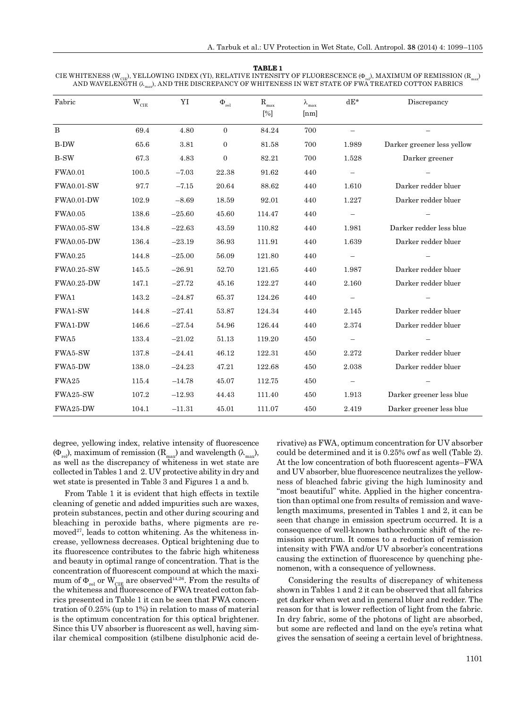#### **TABLE 1**

CIE WHITENESS (W<sub>CIF</sub>), YELLOWING INDEX (YI), RELATIVE INTENSITY OF FLUORESCENCE (Φ<sub>m</sub>), MAXIMUM OF REMISSION (R<sub>max</sub>) AND WAVELENGTH ( $\lambda_{\rm max}$ ), AND THE DISCREPANCY OF WHITENESS IN WET STATE OF FWA TREATED COTTON FABRICS

| Fabric            | $\mathbf{W}_{\rm CIE}$ | YI       | $\Phi_{\textrm{rel}}$ | $\mathbf{R}_{\text{max}}$ | $\lambda_{\max}$ | $dE^*$                   | Discrepancy                |  |
|-------------------|------------------------|----------|-----------------------|---------------------------|------------------|--------------------------|----------------------------|--|
|                   |                        |          |                       | $[\%]$                    | [nm]             |                          |                            |  |
| $\bf{B}$          | 69.4                   | 4.80     | $\mathbf{0}$          | 84.24                     | 700              |                          |                            |  |
| <b>B-DW</b>       | 65.6                   | 3.81     | $\mathbf{0}$          | 81.58                     | 700              | 1.989                    | Darker greener less yellow |  |
| <b>B-SW</b>       | 67.3                   | 4.83     | $\overline{0}$        | 82.21                     | 700              | 1.528                    | Darker greener             |  |
| <b>FWA0.01</b>    | 100.5                  | $-7.03$  | 22.38                 | 91.62                     | 440              | $\qquad \qquad -$        |                            |  |
| <b>FWA0.01-SW</b> | 97.7                   | $-7.15$  | 20.64                 | 88.62                     | 440              | 1.610                    | Darker redder bluer        |  |
| <b>FWA0.01-DW</b> | 102.9                  | $-8.69$  | 18.59                 | 92.01                     | 440              | 1.227                    | Darker redder bluer        |  |
| <b>FWA0.05</b>    | 138.6                  | $-25.60$ | 45.60                 | 114.47                    | 440              | $\overline{\phantom{0}}$ |                            |  |
| <b>FWA0.05-SW</b> | 134.8                  | $-22.63$ | 43.59                 | 110.82                    | 440              | 1.981                    | Darker redder less blue    |  |
| <b>FWA0.05-DW</b> | 136.4                  | $-23.19$ | 36.93                 | 111.91                    | 440              | 1.639                    | Darker redder bluer        |  |
| <b>FWA0.25</b>    | 144.8                  | $-25.00$ | 56.09                 | 121.80                    | 440              | $\overline{\phantom{0}}$ |                            |  |
| <b>FWA0.25-SW</b> | 145.5                  | $-26.91$ | 52.70                 | 121.65                    | 440              | 1.987                    | Darker redder bluer        |  |
| <b>FWA0.25-DW</b> | 147.1                  | $-27.72$ | 45.16                 | 122.27                    | 440              | 2.160                    | Darker redder bluer        |  |
| FWA1              | 143.2                  | $-24.87$ | 65.37                 | 124.26                    | 440              |                          |                            |  |
| FWA1-SW           | 144.8                  | $-27.41$ | 53.87                 | 124.34                    | 440              | 2.145                    | Darker redder bluer        |  |
| FWA1-DW           | 146.6                  | $-27.54$ | 54.96                 | 126.44                    | 440              | 2.374                    | Darker redder bluer        |  |
| FWA5              | 133.4                  | $-21.02$ | 51.13                 | 119.20                    | 450              |                          |                            |  |
| FWA5-SW           | 137.8                  | $-24.41$ | 46.12                 | 122.31                    | 450              | 2.272                    | Darker redder bluer        |  |
| FWA5-DW           | 138.0                  | $-24.23$ | 47.21                 | 122.68                    | 450              | 2.038                    | Darker redder bluer        |  |
| FWA25             | 115.4                  | $-14.78$ | 45.07                 | 112.75                    | 450              |                          |                            |  |
| FWA25-SW          | 107.2                  | $-12.93$ | 44.43                 | 111.40                    | 450              | 1.913                    | Darker greener less blue   |  |
| FWA25-DW          | 104.1                  | $-11.31$ | 45.01                 | 111.07                    | 450              | 2.419                    | Darker greener less blue   |  |

degree, yellowing index, relative intensity of fluorescence  $(\Phi_{rel})$ , maximum of remission  $(R_{max})$  and wavelength  $(\lambda_{max})$ , as well as the discrepancy of whiteness in wet state are collected in Tables 1 and 2. UV protective ability in dry and wet state is presented in Table 3 and Figures 1 a and b.

From Table 1 it is evident that high effects in textile cleaning of genetic and added impurities such are waxes, protein substances, pectin and other during scouring and bleaching in peroxide baths, where pigments are removed $27$ , leads to cotton whitening. As the whiteness increase, yellowness decreases. Optical brightening due to its fluorescence contributes to the fabric high whiteness and beauty in optimal range of concentration. That is the concentration of fluorescent compound at which the maximum of  $\Phi_{rel}$  or  $W_{CHE}$  are observed<sup>14,26</sup>. From the results of the whiteness and fluorescence of FWA treated cotton fabrics presented in Table 1 it can be seen that FWA concentration of 0.25% (up to 1%) in relation to mass of material is the optimum concentration for this optical brightener. Since this UV absorber is fluorescent as well, having similar chemical composition (stilbene disulphonic acid derivative) as FWA, optimum concentration for UV absorber could be determined and it is 0.25% owf as well (Table 2). At the low concentration of both fluorescent agents–FWA and UV absorber, blue fluorescence neutralizes the yellowness of bleached fabric giving the high luminosity and "most beautiful" white. Applied in the higher concentration than optimal one from results of remission and wavelength maximums, presented in Tables 1 and 2, it can be seen that change in emission spectrum occurred. It is a consequence of well-known bathochromic shift of the remission spectrum. It comes to a reduction of remission intensity with FWA and/or UV absorber's concentrations causing the extinction of fluorescence by quenching phenomenon, with a consequence of yellowness.

Considering the results of discrepancy of whiteness shown in Tables 1 and 2 it can be observed that all fabrics get darker when wet and in general bluer and redder. The reason for that is lower reflection of light from the fabric. In dry fabric, some of the photons of light are absorbed, but some are reflected and land on the eye's retina what gives the sensation of seeing a certain level of brightness.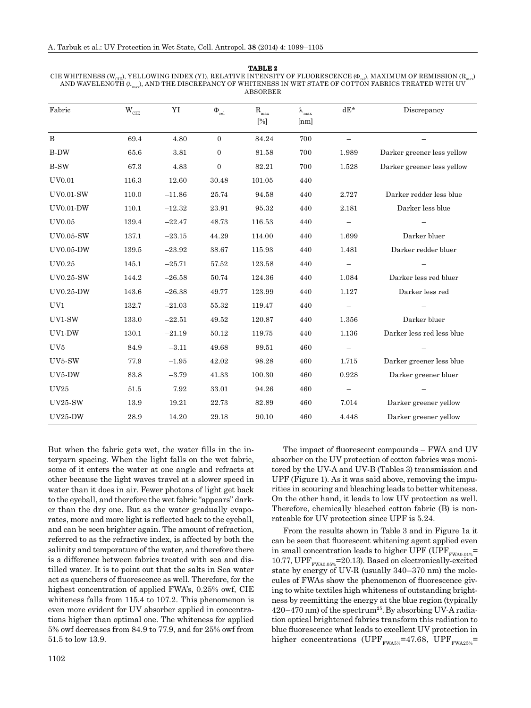| TABLE 2                                                                                                                                                |
|--------------------------------------------------------------------------------------------------------------------------------------------------------|
| CIE WHITENESS (W <sub>CIE</sub> ), YELLOWING INDEX (YI), RELATIVE INTENSITY OF FLUORESCENCE (O <sub>n</sub> ), MAXIMUM OF REMISSION (R <sub>nn</sub> ) |
| AND WAVELENGTH $(\lambda_{\text{max}})$ , AND THE DISCREPANCY OF WHITENESS IN WET STATE OF COTTON FABRICS TREATED WITH UV                              |
| ABSORBER                                                                                                                                               |

| Fabric           | $\mathbf{W}_{\rm CIE}$ | YI       | $\Phi_{\textrm{rel}}$ | $\rm R_{max}$<br>$[\%]$ | $\lambda_{\max}$<br>[nm] | $dE^*$                   | Discrepancy                |  |
|------------------|------------------------|----------|-----------------------|-------------------------|--------------------------|--------------------------|----------------------------|--|
| $\, {\bf B}$     | 69.4                   | 4.80     | $\boldsymbol{0}$      | 84.24                   | 700                      | $\overline{\phantom{0}}$ |                            |  |
| <b>B-DW</b>      | 65.6                   | 3.81     | $\boldsymbol{0}$      | 81.58                   | 700                      | 1.989                    | Darker greener less yellow |  |
| <b>B-SW</b>      | 67.3                   | 4.83     | $\boldsymbol{0}$      | 82.21                   | 700                      | 1.528                    | Darker greener less yellow |  |
| <b>UV0.01</b>    | 116.3                  | $-12.60$ | 30.48                 | 101.05                  | 440                      |                          |                            |  |
| UV0.01-SW        | 110.0                  | $-11.86$ | 25.74                 | 94.58                   | 440                      | 2.727                    | Darker redder less blue    |  |
| <b>UV0.01-DW</b> | 110.1                  | $-12.32$ | 23.91                 | 95.32                   | 440                      | 2.181                    | Darker less blue           |  |
| UV0.05           | 139.4                  | $-22.47$ | 48.73                 | 116.53                  | 440                      | $\qquad \qquad -$        |                            |  |
| <b>UV0.05-SW</b> | 137.1                  | $-23.15$ | 44.29                 | 114.00                  | 440                      | 1.699                    | Darker bluer               |  |
| <b>UV0.05-DW</b> | 139.5                  | $-23.92$ | 38.67                 | 115.93                  | 440                      | 1.481                    | Darker redder bluer        |  |
| UV0.25           | 145.1                  | $-25.71$ | 57.52                 | 123.58                  | 440                      | $\overline{\phantom{0}}$ |                            |  |
| <b>UV0.25-SW</b> | 144.2                  | $-26.58$ | 50.74                 | 124.36                  | 440                      | 1.084                    | Darker less red bluer      |  |
| <b>UV0.25-DW</b> | 143.6                  | $-26.38$ | 49.77                 | 123.99                  | 440                      | 1.127                    | Darker less red            |  |
| UV1              | 132.7                  | $-21.03$ | 55.32                 | 119.47                  | 440                      | $\overline{\phantom{0}}$ |                            |  |
| UV1-SW           | 133.0                  | $-22.51$ | 49.52                 | 120.87                  | 440                      | 1.356                    | Darker bluer               |  |
| UV1-DW           | 130.1                  | $-21.19$ | $50.12\,$             | $119.75\,$              | 440                      | 1.136                    | Darker less red less blue  |  |
| UV <sub>5</sub>  | 84.9                   | $-3.11$  | 49.68                 | 99.51                   | 460                      |                          |                            |  |
| UV5-SW           | 77.9                   | $-1.95$  | 42.02                 | 98.28                   | 460                      | 1.715                    | Darker greener less blue   |  |
| UV5-DW           | 83.8                   | $-3.79$  | 41.33                 | 100.30                  | 460                      | 0.928                    | Darker greener bluer       |  |
| <b>UV25</b>      | 51.5                   | 7.92     | 33.01                 | 94.26                   | 460                      | $\qquad \qquad -$        |                            |  |
| <b>UV25-SW</b>   | 13.9                   | 19.21    | 22.73                 | 82.89                   | 460                      | 7.014                    | Darker greener yellow      |  |
| <b>UV25-DW</b>   | 28.9                   | 14.20    | 29.18                 | 90.10                   | 460                      | 4.448                    | Darker greener yellow      |  |

But when the fabric gets wet, the water fills in the interyarn spacing. When the light falls on the wet fabric, some of it enters the water at one angle and refracts at other because the light waves travel at a slower speed in water than it does in air. Fewer photons of light get back to the eyeball, and therefore the wet fabric "appears" darker than the dry one. But as the water gradually evaporates, more and more light is reflected back to the eveball. and can be seen brighter again. The amount of refraction, referred to as the refractive index, is affected by both the salinity and temperature of the water, and therefore there is a difference between fabrics treated with sea and distilled water. It is to point out that the salts in Sea water act as quenchers of fluorescence as well. Therefore, for the highest concentration of applied FWA's, 0.25% owf, CIE whiteness falls from 115.4 to 107.2. This phenomenon is even more evident for UV absorber applied in concentrations higher than optimal one. The whiteness for applied 5% owf decreases from 84.9 to 77.9, and for 25% owf from 51.5 to low 13.9.

The impact of fluorescent compounds – FWA and UV absorber on the UV protection of cotton fabrics was monitored by the UV-A and UV-B (Tables 3) transmission and UPF (Figure 1). As it was said above, removing the impurities in scouring and bleaching leads to better whiteness. On the other hand, it leads to low UV protection as well. Therefore, chemically bleached cotton fabric (B) is nonrateable for UV protection since UPF is 5.24.

From the results shown in Table 3 and in Figure 1a it can be seen that fluorescent whitening agent applied even in small concentration leads to higher UPF (UPF $_{\text{FWA0.01\%}}$ = 10.77,  $UPF_{\text{FWA0.05\%}}$ =20.13). Based on electronically-excited state by energy of UV-R (usually 340–370 nm) the molecules of FWAs show the phenomenon of fluorescence giving to white textiles high whiteness of outstanding brightness by reemitting the energy at the blue region (typically  $420-470$  nm) of the spectrum<sup>25</sup>. By absorbing UV-A radiation optical brightened fabrics transform this radiation to blue fluorescence what leads to excellent UV protection in higher concentrations (UPF $_{\text{FWA5\%}}$ =47.68, UPF $_{\text{FWA25\%}}$ =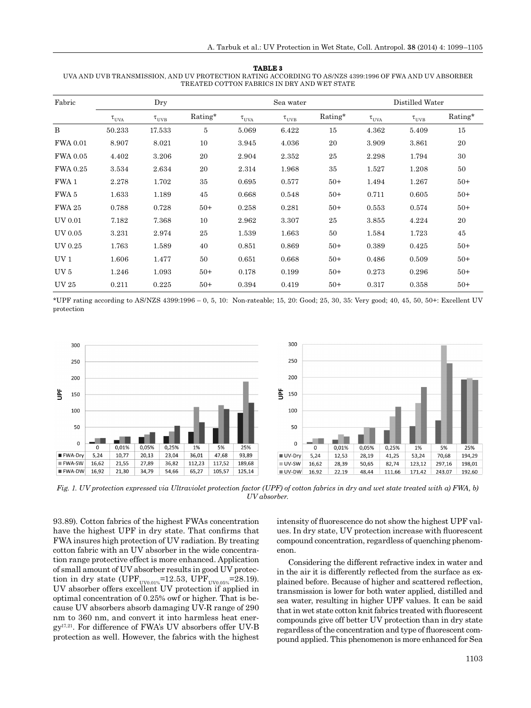#### **TABLE 3**

UVA AND UVB TRANSMISSION, AND UV PROTECTION RATING ACCORDING TO AS/NZS 4399:1996 OF FWA AND UV ABSORBER TREATED COTTON FABRICS IN DRY AND WET STATE

| Fabric          |              | Dry          |         |                  | Sea water    |         |                  | Distilled Water |         |  |
|-----------------|--------------|--------------|---------|------------------|--------------|---------|------------------|-----------------|---------|--|
|                 | $\tau_{UVA}$ | $\tau_{UVB}$ | Rating* | $\tau_{\rm UVA}$ | $\tau_{UVB}$ | Rating* | $\tau_{\rm UVA}$ | $\tau_{UVB}$    | Rating* |  |
| B               | 50.233       | 17.533       | 5       | 5.069            | 6.422        | 15      | 4.362            | 5.409           | 15      |  |
| <b>FWA 0.01</b> | 8.907        | 8.021        | 10      | 3.945            | 4.036        | 20      | 3.909            | 3.861           | 20      |  |
| <b>FWA 0.05</b> | 4.402        | 3.206        | 20      | 2.904            | 2.352        | 25      | 2.298            | 1.794           | 30      |  |
| <b>FWA 0.25</b> | 3.534        | 2.634        | 20      | 2.314            | 1.968        | 35      | 1.527            | 1.208           | 50      |  |
| FWA 1           | 2.278        | 1.702        | 35      | 0.695            | 0.577        | $50+$   | 1.494            | 1.267           | $50+$   |  |
| FWA 5           | 1.633        | 1.189        | 45      | 0.668            | 0.548        | $50+$   | 0.711            | 0.605           | $50+$   |  |
| <b>FWA 25</b>   | 0.788        | 0.728        | $50+$   | 0.258            | 0.281        | $50+$   | 0.553            | 0.574           | $50+$   |  |
| UV 0.01         | 7.182        | 7.368        | 10      | 2.962            | 3.307        | 25      | 3.855            | 4.224           | 20      |  |
| UV 0.05         | 3.231        | 2.974        | 25      | 1.539            | 1.663        | 50      | 1.584            | 1.723           | 45      |  |
| UV 0.25         | 1.763        | 1.589        | 40      | 0.851            | 0.869        | $50+$   | 0.389            | 0.425           | $50+$   |  |
| UV <sub>1</sub> | 1.606        | 1.477        | 50      | 0.651            | 0.668        | $50+$   | 0.486            | 0.509           | $50+$   |  |
| UV <sub>5</sub> | 1.246        | 1.093        | $50+$   | 0.178            | 0.199        | $50+$   | 0.273            | 0.296           | $50+$   |  |
| <b>UV25</b>     | 0.211        | 0.225        | $50+$   | 0.394            | 0.419        | $50+$   | 0.317            | 0.358           | $50+$   |  |

\*UPF rating according to AS/NZS 4399:1996 – 0, 5, 10: Non-rateable; 15, 20: Good; 25, 30, 35: Very good; 40, 45, 50, 50+: Excellent UV protection



*Fig. 1. UV protection expressed via Ultraviolet protection factor (UPF) of cotton fabrics in dry and wet state treated with a) FWA, b) UV absorber.*

93.89). Cotton fabrics of the highest FWAs concentration have the highest UPF in dry state. That confirms that FWA insures high protection of UV radiation. By treating cotton fabric with an UV absorber in the wide concentration range protective effect is more enhanced. Application of small amount of UV absorber results in good UV protection in dry state (UPF<sub>UV0.01%</sub>=12.53, UPF<sub>UV0.05%</sub>=28.19). UV absorber offers excellent UV protection if applied in optimal concentration of 0.25% owf or higher. That is because UV absorbers absorb damaging UV-R range of 290 nm to 360 nm, and convert it into harmless heat energy17,21. For difference of FWA's UV absorbers offer UV-B protection as well. However, the fabrics with the highest

intensity of fluorescence do not show the highest UPF values. In dry state, UV protection increase with fluorescent compound concentration, regardless of quenching phenomenon.

Considering the different refractive index in water and in the air it is differently reflected from the surface as explained before. Because of higher and scattered reflection, transmission is lower for both water applied, distilled and sea water, resulting in higher UPF values. It can be said that in wet state cotton knit fabrics treated with fluorescent compounds give off better UV protection than in dry state regardless of the concentration and type of fluorescent compound applied. This phenomenon is more enhanced for Sea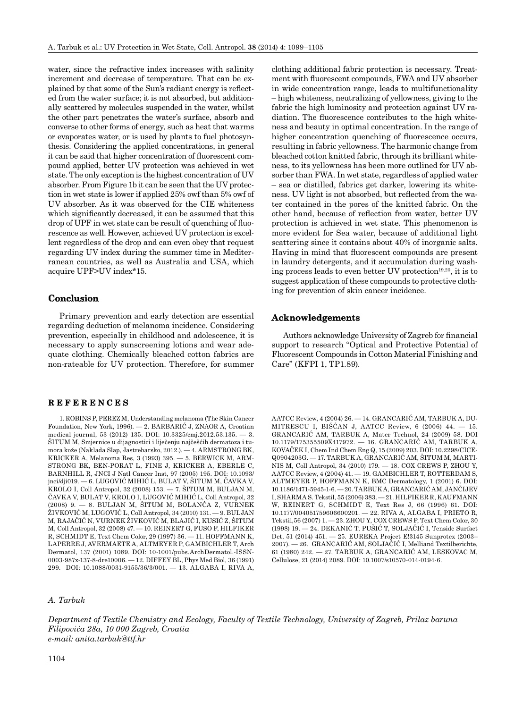water, since the refractive index increases with salinity increment and decrease of temperature. That can be explained by that some of the Sun's radiant energy is reflected from the water surface; it is not absorbed, but additionally scattered by molecules suspended in the water, whilst the other part penetrates the water's surface, absorb and converse to other forms of energy, such as heat that warms or evaporates water, or is used by plants to fuel photosynthesis. Considering the applied concentrations, in general it can be said that higher concentration of fluorescent compound applied, better UV protection was achieved in wet state. The only exception is the highest concentration of UV absorber. From Figure 1b it can be seen that the UV protection in wet state is lower if applied 25% owf than 5% owf of UV absorber. As it was observed for the CIE whiteness which significantly decreased, it can be assumed that this drop of UPF in wet state can be result of quenching of fluorescence as well. However, achieved UV protection is excellent regardless of the drop and can even obey that request regarding UV index during the summer time in Mediterranean countries, as well as Australia and USA, which acquire UPF>UV index\*15.

## **Conclusion onclusion**

Primary prevention and early detection are essential regarding deduction of melanoma incidence. Considering prevention, especially in childhood and adolescence, it is necessary to apply sunscreening lotions and wear adequate clothing. Chemically bleached cotton fabrics are non-rateable for UV protection. Therefore, for summer

## **REFERENCES E F E R E N C E S**

1. ROBINS P, PEREZ M, Understanding melanoma (The Skin Cancer Foundation, New York, 1996). — 2. BARBARIĆ J, ZNAOR A, Croatian medical journal, 53 (2012) 135. DOI: 10.3325/cmj.2012.53.135. — 3. ŠITUM M, Smjernice u dijagnostici i liječenju najčešćih dermatoza i tumora kože (Naklada Slap, Jastrebarsko, 2012.). — 4. ARMSTRONG BK, KRICKER A, Melanoma Res, 3 (1993) 395. — 5. BERWICK M, ARM-STRONG BK, BEN-PORAT L, FINE J, KRICKER A, EBERLE C, BARNHILL R, JNCI J Natl Cancer Inst, 97 (2005) 195. DOI: 10.1093/ jnci/dji019. — 6. LUGOVIĆ MIHIĆ L, BULAT V, ŠITUM M, ČAVKA V, KROLO I, Coll Antropol, 32 (2008) 153. — 7. ŠITUM M, BULJAN M, ČAVKA V, BULAT V, KROLO I, LUGOVIĆ MIHIĆ L, Coll Antropol, 32 (2008) 9. — 8. BULJAN M, ŠITUM M, BOLANČA Z, VURNEK ŽIVKOVIĆ M, LUGOVIĆ L, Coll Antropol, 34 (2010) 131. — 9. BULJAN M, RAJAČIĆ N, VURNEK ŽIVKOVIĆ M, BLAJIĆ I, KUSIĆ Z, ŠITUM M, Coll Antropol, 32 (2008) 47. — 10. REINERT G, FUSO F, HILFIKER R, SCHMIDT E, Text Chem Color, 29 (1997) 36. — 11. HOFFMANN K, LAPERRE J, AVERMAETE A, ALTMEYER P, GAMBICHLER T, Arch Dermatol, 137 (2001) 1089. DOI: 10-1001/pubs.ArchDermatol.-ISSN-0003-987x-137-8-dre10006. — 12. DIFFEY BL, Phys Med Biol, 36 (1991) 299. DOI: 10.1088/0031-9155/36/3/001. — 13. ALGABA I, RIVA A,

#### *A. Tarbuk*

clothing additional fabric protection is necessary. Treatment with fluorescent compounds, FWA and UV absorber in wide concentration range, leads to multifunctionality – high whiteness, neutralizing of yellowness, giving to the fabric the high luminosity and protection against UV radiation. The fluorescence contributes to the high whiteness and beauty in optimal concentration. In the range of higher concentration quenching of fluorescence occurs, resulting in fabric yellowness. The harmonic change from bleached cotton knitted fabric, through its brilliant whiteness, to its yellowness has been more outlined for UV absorber than FWA. In wet state, regardless of applied water – sea or distilled, fabrics get darker, lowering its whiteness. UV light is not absorbed, but reflected from the water contained in the pores of the knitted fabric. On the other hand, because of reflection from water, better UV protection is achieved in wet state. This phenomenon is more evident for Sea water, because of additional light scattering since it contains about 40% of inorganic salts. Having in mind that fluorescent compounds are present in laundry detergents, and it accumulation during washing process leads to even better UV protection<sup>19,20</sup>, it is to suggest application of these compounds to protective cloth-

### **Acknowledgements cknowledgements**

Authors acknowledge University of Zagreb for financial support to research "Optical and Protective Potential of Fluorescent Compounds in Cotton Material Finishing and Care" (KFPI 1, TP1.89).

ing for prevention of skin cancer incidence.

AATCC Review, 4 (2004) 26. — 14. GRANCARIĆ AM, TARBUK A, DU-MITRESCU I, BIŠĆAN J, AATCC Review, 6 (2006) 44. — 15. GRANCARIĆ AM, TARBUK A, Mater Technol, 24 (2009) 58. DOI 10.1179/175355509X417972. — 16. GRANCARIĆ AM, TARBUK A, KOVAČEK I, Chem Ind Chem Eng Q, 15 (2009) 203. DOI: 10.2298/CICE-Q0904203G. — 17. TARBUK A, GRANCARIĆ AM, ŠITUM M, MARTI-NIS M, Coll Antropol, 34 (2010) 179. — 18. COX CREWS P, ZHOU Y, AATCC Review, 4 (2004) 41. — 19. GAMBICHLER T, ROTTERDAM S, ALTMEYER P, HOFFMANN K, BMC Dermatology, 1 (2001) 6. DOI: 10.1186/1471-5945-1-6. — 20. TARBUK A, GRANCARIĆ AM, JANČIJEV I, SHARMA S. Tekstil, 55 (2006) 383. — 21. HILFIKER R, KAUFMANN W, REINERT G, SCHMIDT E, Text Res J, 66 (1996) 61. DOI: 10.1177/004051759606600201. — 22. RIVA A, ALGABA I, PRIETO R, Tekstil,56 (2007) 1. — 23. ZHOU Y, COX CREWS P, Text Chem Color, 30 (1998) 19. — 24. DEKANIĆ T, PUŠIĆ T, SOLJAČIĆ I, Tenside Surfact Det, 51 (2014) 451. — 25. EUREKA Project E!3145 Sunprotex (2003– 2007). — 26. GRANCARIĆ AM, SOLJAČIĆ I, Melliand Textilberichte, 61 (1980) 242. — 27. TARBUK A, GRANCARIĆ AM, LESKOVAC M, Cellulose, 21 (2014) 2089. DOI: 10.1007/s10570-014-0194-6.

*Department of Textile Chemistry and Ecology, Faculty of Textile Technology, University of Zagreb, Prilaz baruna Filipovića 28a, 10 000 Zagreb, Croatia e-mail: anita.tarbuk@ttf.hr*